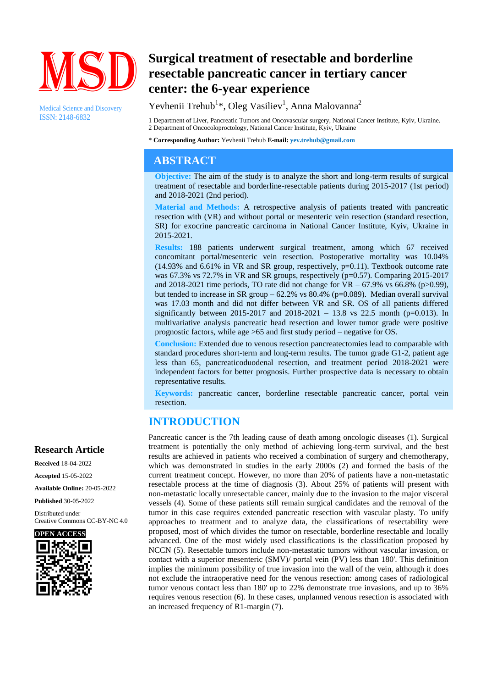

Medical Science and Discovery ISSN: 2148-6832

# **Surgical treatment of resectable and borderline resectable pancreatic cancer in tertiary cancer center: the 6-year experience**

Yevhenii Trehub<sup>1\*</sup>, Oleg Vasiliev<sup>1</sup>, Anna Malovanna<sup>2</sup>

1 Department of Liver, Pancreatic Tumors and Oncovascular surgery, National Cancer Institute, Kyiv, Ukraine. 2 Department of Oncocoloproctology, National Cancer Institute, Kyiv, Ukraine

**\* Corresponding Author:** Yevhenii Trehub **E-mail: yev.trehub@gmail.com**

## **ABSTRACT**

**Objective:** The aim of the study is to analyze the short and long-term results of surgical treatment of resectable and borderline-resectable patients during 2015-2017 (1st period) and 2018-2021 (2nd period).

**Material and Methods:** A retrospective analysis of patients treated with pancreatic resection with (VR) and without portal or mesenteric vein resection (standard resection, SR) for exocrine pancreatic carcinoma in National Cancer Institute, Kyiv, Ukraine in 2015-2021.

**Results:** 188 patients underwent surgical treatment, among which 67 received concomitant portal/mesenteric vein resection. Postoperative mortality was 10.04%  $(14.93\%$  and 6.61% in VR and SR group, respectively, p=0.11). Textbook outcome rate was 67.3% vs 72.7% in VR and SR groups, respectively (p=0.57). Comparing 2015-2017 and 2018-2021 time periods, TO rate did not change for  $VR - 67.9\%$  vs 66.8% (p>0.99), but tended to increase in SR group  $-62.2\%$  vs 80.4% (p=0.089). Median overall survival was 17.03 month and did not differ between VR and SR. OS of all patients differed significantly between 2015-2017 and 2018-2021 – 13.8 vs 22.5 month (p=0.013). In multivariative analysis pancreatic head resection and lower tumor grade were positive prognostic factors, while age >65 and first study period – negative for OS.

**Conclusion:** Extended due to venous resection pancreatectomies lead to comparable with standard procedures short-term and long-term results. The tumor grade G1-2, patient age less than 65, pancreaticoduodenal resection, and treatment period 2018-2021 were independent factors for better prognosis. Further prospective data is necessary to obtain representative results.

**Keywords:** pancreatic cancer, borderline resectable pancreatic cancer, portal vein resection.

# **INTRODUCTION**

Pancreatic cancer is the 7th leading cause of death among oncologic diseases (1). Surgical treatment is potentially the only method of achieving long-term survival, and the best results are achieved in patients who received a combination of surgery and chemotherapy, which was demonstrated in studies in the early 2000s (2) and formed the basis of the current treatment concept. However, no more than 20% of patients have a non-metastatic resectable process at the time of diagnosis (3). About 25% of patients will present with non-metastatic locally unresectable cancer, mainly due to the invasion to the major visceral vessels (4). Some of these patients still remain surgical candidates and the removal of the tumor in this case requires extended pancreatic resection with vascular plasty. To unify approaches to treatment and to analyze data, the classifications of resectability were proposed, most of which divides the tumor on resectable, borderline resectable and locally advanced. One of the most widely used classifications is the classification proposed by NCCN (5). Resectable tumors include non-metastatic tumors without vascular invasion, or contact with a superior mesenteric (SMV)/ portal vein (PV) less than 180'. This definition implies the minimum possibility of true invasion into the wall of the vein, although it does not exclude the intraoperative need for the venous resection: among cases of radiological tumor venous contact less than 180' up to 22% demonstrate true invasions, and up to 36% requires venous resection (6). In these cases, unplanned venous resection is associated with an increased frequency of R1-margin (7).

#### **Research Article**

**Received** 18-04-2022 **Accepted** 15-05-2022 **Available Online:** 20-05-2022

**Published** 30-05-2022

Distributed under Creative Commons CC-BY-NC 4.0

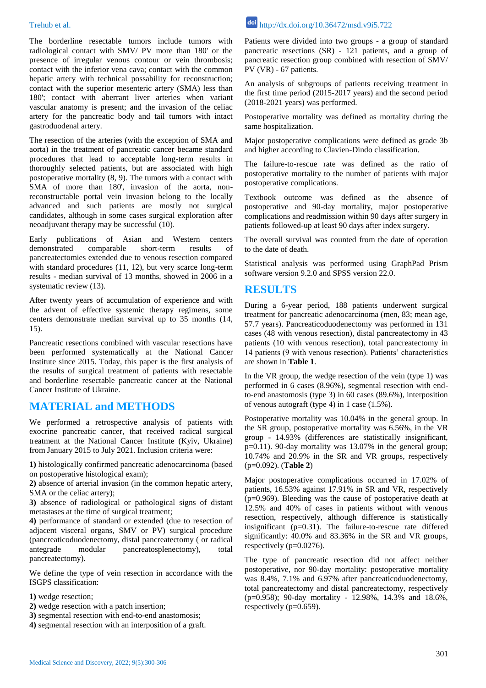The borderline resectable tumors include tumors with radiological contact with SMV/ PV more than 180' or the presence of irregular venous contour or vein thrombosis; contact with the inferior vena cava; contact with the common hepatic artery with technical possability for reconstruction; contact with the superior mesenteric artery (SMA) less than 180'; contact with aberrant liver arteries when variant vascular anatomy is present; and the invasion of the celiac artery for the pancreatic body and tail tumors with intact gastroduodenal artery.

The resection of the arteries (with the exception of SMA and aorta) in the treatment of pancreatic cancer became standard procedures that lead to acceptable long-term results in thoroughly selected patients, but are associated with high postoperative mortality (8, 9). The tumors with a contact with SMA of more than 180', invasion of the aorta, nonreconstructable portal vein invasion belong to the locally advanced and such patients are mostly not surgical candidates, although in some cases surgical exploration after neoadjuvant therapy may be successful (10).

Early publications of Asian and Western centers demonstrated comparable short-term results of pancreatectomies extended due to venous resection compared with standard procedures (11, 12), but very scarce long-term results - median survival of 13 months, showed in 2006 in a systematic review (13).

After twenty years of accumulation of experience and with the advent of effective systemic therapy regimens, some centers demonstrate median survival up to 35 months (14, 15).

Pancreatic resections combined with vascular resections have been performed systematically at the National Cancer Institute since 2015. Today, this paper is the first analysis of the results of surgical treatment of patients with resectable and borderline resectable pancreatic cancer at the National Cancer Institute of Ukraine.

#### **MATERIAL and METHODS**

We performed a retrospective analysis of patients with exocrine pancreatic cancer, that received radical surgical treatment at the National Cancer Institute (Kyiv, Ukraine) from January 2015 to July 2021. Inclusion criteria were:

**1)** histologically confirmed pancreatic adenocarcinoma (based on postoperative histological exam);

**2)** absence of arterial invasion (in the common hepatic artery, SMA or the celiac artery);

**3)** absence of radiological or pathological signs of distant metastases at the time of surgical treatment;

**4)** performance of standard or extended (due to resection of adjacent visceral organs, SMV or PV) surgical procedure (pancreaticoduodenectomy, distal pancreatectomy ( or radical antegrade modular pancreatosplenectomy), total pancreatectomy).

We define the type of vein resection in accordance with the ISGPS classification:

- **1)** wedge resection;
- **2)** wedge resection with a patch insertion;
- **3)** segmental resection with end-to-end anastomosis;
- **4)** segmental resection with an interposition of a graft.

Patients were divided into two groups - a group of standard pancreatic resections (SR) - 121 patients, and a group of pancreatic resection group combined with resection of SMV/ PV (VR) - 67 patients.

An analysis of subgroups of patients receiving treatment in the first time period (2015-2017 years) and the second period (2018-2021 years) was performed.

Postoperative mortality was defined as mortality during the same hospitalization.

Major postoperative complications were defined as grade 3b and higher according to Clavien-Dindo classification.

The failure-to-rescue rate was defined as the ratio of postoperative mortality to the number of patients with major postoperative complications.

Textbook outcome was defined as the absence of postoperative and 90-day mortality, major postoperative complications and readmission within 90 days after surgery in patients followed-up at least 90 days after index surgery.

The overall survival was counted from the date of operation to the date of death.

Statistical analysis was performed using GraphPad Prism software version 9.2.0 and SPSS version 22.0.

#### **RESULTS**

During a 6-year period, 188 patients underwent surgical treatment for pancreatic adenocarcinoma (men, 83; mean age, 57.7 years). Pancreaticoduodenectomy was performed in 131 cases (48 with venous resection), distal pancreatectomy in 43 patients (10 with venous resection), total pancreatectomy in 14 patients (9 with venous resection). Patients' characteristics are shown in **Table 1**.

In the VR group, the wedge resection of the vein (type 1) was performed in 6 cases (8.96%), segmental resection with endto-end anastomosis (type 3) in 60 cases (89.6%), interposition of venous autograft (type 4) in 1 case (1.5%).

Postoperative mortality was 10.04% in the general group. In the SR group, postoperative mortality was 6.56%, in the VR group - 14.93% (differences are statistically insignificant, p=0.11). 90-day mortality was 13.07% in the general group; 10.74% and 20.9% in the SR and VR groups, respectively (p=0.092). (**Table 2**)

Major postoperative complications occurred in 17.02% of patients, 16.53% against 17.91% in SR and VR, respectively  $(p=0.969)$ . Bleeding was the cause of postoperative death at 12.5% and 40% of cases in patients without with venous resection, respectively, although difference is statistically insignificant  $(p=0.31)$ . The failure-to-rescue rate differed significantly: 40.0% and 83.36% in the SR and VR groups, respectively  $(p=0.0276)$ .

The type of pancreatic resection did not affect neither postoperative, nor 90-day mortality: postoperative mortality was 8.4%, 7.1% and 6.97% after pancreaticoduodenectomy, total pancreatectomy and distal pancreatectomy, respectively (p=0.958); 90-day mortality - 12.98%, 14.3% and 18.6%, respectively  $(p=0.659)$ .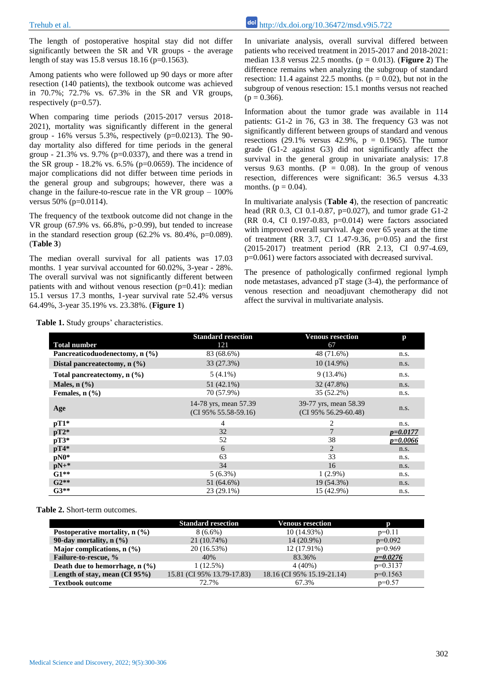The length of postoperative hospital stay did not differ significantly between the SR and VR groups - the average length of stay was  $15.8$  versus  $18.16$  (p=0.1563).

Among patients who were followed up 90 days or more after resection (140 patients), the textbook outcome was achieved in 70.7%; 72.7% vs. 67.3% in the SR and VR groups, respectively (p=0.57).

When comparing time periods (2015-2017 versus 2018- 2021), mortality was significantly different in the general group -  $16\%$  versus 5.3%, respectively (p=0.0213). The 90day mortality also differed for time periods in the general group - 21.3% vs. 9.7% (p=0.0337), and there was a trend in the SR group -  $18.2\%$  vs. 6.5% (p=0.0659). The incidence of major complications did not differ between time periods in the general group and subgroups; however, there was a change in the failure-to-rescue rate in the VR group  $-100\%$ versus 50% (p=0.0114).

The frequency of the textbook outcome did not change in the VR group (67.9% vs. 66.8%, p>0.99), but tended to increase in the standard resection group  $(62.2\% \text{ vs. } 80.4\%, \text{ p=0.089}).$ (**Table 3**)

The median overall survival for all patients was 17.03 months. 1 year survival accounted for 60.02%, 3-year - 28%. The overall survival was not significantly different between patients with and without venous resection  $(p=0.41)$ : median 15.1 versus 17.3 months, 1-year survival rate 52.4% versus 64.49%, 3-year 35.19% vs. 23.38%. (**Figure 1**)

In univariate analysis, overall survival differed between patients who received treatment in 2015-2017 and 2018-2021: median 13.8 versus 22.5 months.  $(p = 0.013)$ . (**Figure 2**) The difference remains when analyzing the subgroup of standard resection: 11.4 against 22.5 months. ( $p = 0.02$ ), but not in the subgroup of venous resection: 15.1 months versus not reached  $(p = 0.366)$ .

Information about the tumor grade was available in 114 patients: G1-2 in 76, G3 in 38. The frequency G3 was not significantly different between groups of standard and venous resections (29.1% versus 42.9%,  $p = 0.1965$ ). The tumor grade (G1-2 against G3) did not significantly affect the survival in the general group in univariate analysis: 17.8 versus 9.63 months.  $(P = 0.08)$ . In the group of venous resection, differences were significant: 36.5 versus 4.33 months. ( $p = 0.04$ ).

In multivariate analysis (**Table 4**), the resection of pancreatic head (RR 0.3, CI 0.1-0.87, p=0.027), and tumor grade G1-2 (RR 0.4, CI 0.197-0.83, p=0.014) were factors associated with improved overall survival. Age over 65 years at the time of treatment (RR 3.7, CI 1.47-9.36, p=0.05) and the first (2015-2017) treatment period (RR 2.13, CI 0.97-4.69, p=0.061) were factors associated with decreased survival.

The presence of pathologically confirmed regional lymph node metastases, advanced pT stage (3-4), the performance of venous resection and neoadjuvant chemotherapy did not affect the survival in multivariate analysis.

|                                            | <b>Standard resection</b>                        | <b>Venous resection</b>                       | p            |
|--------------------------------------------|--------------------------------------------------|-----------------------------------------------|--------------|
| <b>Total number</b>                        | 121                                              | 67                                            |              |
| Pancreaticoduodenectomy, $n$ (%)           | 83 (68.6%)                                       | 48 (71.6%)                                    | n.s.         |
| Distal pancreatectomy, $n$ $(\frac{9}{6})$ | 33 (27.3%)                                       | $10(14.9\%)$                                  | n.s.         |
| Total pancreatectomy, $n$ $(\frac{9}{6})$  | $5(4.1\%)$                                       | $9(13.4\%)$                                   | n.s.         |
| Males, $n$ $(\frac{9}{6})$                 | $51(42.1\%)$                                     | 32 (47.8%)                                    | n.s.         |
| Females, $n$ $(\frac{9}{6})$               | 70 (57.9%)                                       | 35 (52.2%)                                    | n.s.         |
| Age                                        | 14-78 yrs, mean 57.39<br>$(CI 95\% 55.58-59.16)$ | 39-77 yrs, mean 58.39<br>(CI 95% 56.29-60.48) | n.s.         |
| $pT1*$                                     | 4                                                | 2                                             | n.s.         |
| $pT2*$                                     | 32                                               | 7                                             | $p = 0.0177$ |
| $pT3*$                                     | 52                                               | 38                                            | $p = 0.0066$ |
| $pT4*$                                     | 6                                                | 2                                             | n.s.         |
| $pN0*$                                     | 63                                               | 33                                            | n.s.         |
| $pN+*$                                     | 34                                               | 16                                            | n.s.         |
| $G1**$                                     | $5(6.3\%)$                                       | $1(2.9\%)$                                    | n.s.         |
| $G2**$                                     | 51 (64.6%)                                       | 19 (54.3%)                                    | n.s.         |
| $G3**$                                     | $23(29.1\%)$                                     | 15 (42.9%)                                    | n.s.         |

**Table 1.** Study groups' characteristics.

**Table 2.** Short-term outcomes.

|                                          | <b>Standard resection</b>  | <b>Venous resection</b>    |            |
|------------------------------------------|----------------------------|----------------------------|------------|
| Postoperative mortality, $n$ $(\% )$     | $8(6.6\%)$                 | $10(14.93\%)$              | $p=0.11$   |
| 90-day mortality, n (%)                  | 21 (10.74%)                | 14 (20.9%)                 | $p=0.092$  |
| Major complications, $n$ $(\frac{9}{6})$ | 20 (16.53%)                | 12 (17.91%)                | $p=0.969$  |
| Failure-to-rescue, %                     | 40%                        | 83.36%                     | $p=0.0276$ |
| Death due to hemorrhage, $n$ (%)         | 1(12.5%)                   | $4(40\%)$                  | $p=0.3137$ |
| Length of stay, mean $(CI 95%)$          | 15.81 (CI 95% 13.79-17.83) | 18.16 (CI 95% 15.19-21.14) | $p=0.1563$ |
| <b>Textbook outcome</b>                  | 72.7%                      | 67.3%                      | $p=0.57$   |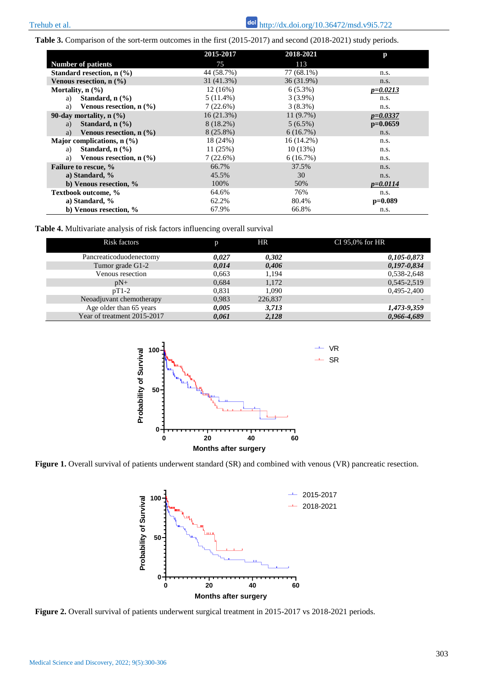**Table 3.** Comparison of the sort-term outcomes in the first (2015-2017) and second (2018-2021) study periods.

|                                                  | 2015-2017   | 2018-2021  | р            |
|--------------------------------------------------|-------------|------------|--------------|
| <b>Number of patients</b>                        | 75          | 113        |              |
| Standard resection, $n$ $(\%)$                   | 44 (58.7%)  | 77 (68.1%) | n.s.         |
| Venous resection, $n$ $(\frac{9}{6})$            | 31 (41.3%)  | 36 (31.9%) | n.s.         |
| Mortality, $n$ $\left(\frac{9}{6}\right)$        | 12(16%)     | $6(5.3\%)$ | $p = 0.0213$ |
| Standard, $n$ $(\frac{9}{6})$<br>a)              | $5(11.4\%)$ | $3(3.9\%)$ | n.s.         |
| Venous resection, $n$ $(\frac{9}{6})$<br>a)      | 7(22.6%)    | $3(8.3\%)$ | n.s.         |
| 90-day mortality, $n$ $\left(\frac{9}{6}\right)$ | 16(21.3%)   | 11(9.7%)   | $p = 0.0337$ |
| Standard, $n$ $\left(\frac{9}{6}\right)$<br>a)   | $8(18.2\%)$ | $5(6.5\%)$ | $p=0.0659$   |
| Venous resection, $n$ $(\frac{6}{6})$<br>a)      | $8(25.8\%)$ | 6(16.7%)   | n.s.         |
| Major complications, $n$ (%)                     | 18 (24%)    | 16 (14.2%) | n.s.         |
| Standard, $n$ $(\frac{9}{6})$<br>a)              | 11(25%)     | 10(13%)    | n.s.         |
| Venous resection, $n \, (\%)$<br>a)              | 7(22.6%)    | 6(16.7%)   | n.s.         |
| Failure to rescue, %                             | 66.7%       | 37.5%      | n.s.         |
| a) Standard, $\%$                                | 45.5%       | 30         | n.s.         |
| b) Venous resection, %                           | 100%        | 50%        | $p = 0.0114$ |
| Textbook outcome, %                              | 64.6%       | 76%        | n.s.         |
| a) Standard, %                                   | 62.2%       | 80.4%      | $p=0.089$    |
| b) Venous resection, $\%$                        | 67.9%       | 66.8%      | n.s.         |

**Table 4.** Multivariate analysis of risk factors influencing overall survival

| Risk factors                | D     | HR      | CI 95,0% for HR |
|-----------------------------|-------|---------|-----------------|
| Pancreaticoduodenectomy     | 0.027 | 0,302   | $0,105 - 0,873$ |
| Tumor grade G1-2            | 0.014 | 0,406   | $0,197-0,834$   |
| Venous resection            | 0.663 | 1.194   | 0,538-2,648     |
| $pN+$                       | 0.684 | 1,172   | 0,545-2,519     |
| $pT1-2$                     | 0.831 | 1.090   | 0,495-2,400     |
| Neoadjuvant chemotherapy    | 0,983 | 226,837 |                 |
| Age older than 65 years     | 0,005 | 3,713   | 1,473-9,359     |
| Year of treatment 2015-2017 | 0,061 | 2,128   | 0,966-4,689     |



**Figure 1.** Overall survival of patients underwent standard (SR) and combined with venous (VR) pancreatic resection.



**Figure 2.** Overall survival of patients underwent surgical treatment in 2015-2017 vs 2018-2021 periods.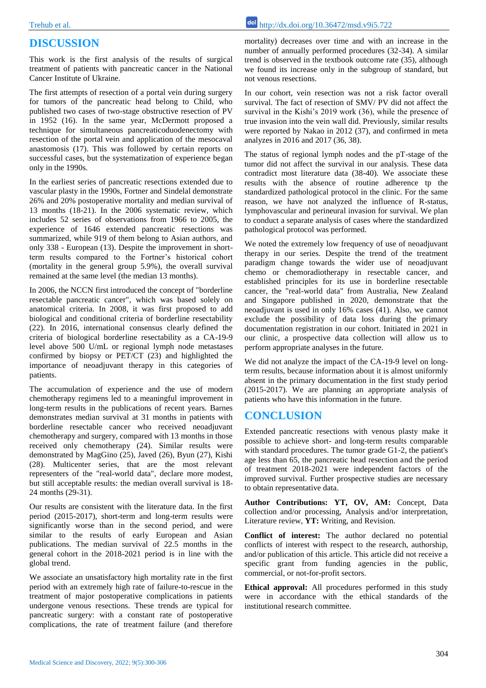## **DISCUSSION**

This work is the first analysis of the results of surgical treatment of patients with pancreatic cancer in the National Cancer Institute of Ukraine.

The first attempts of resection of a portal vein during surgery for tumors of the pancreatic head belong to Child, who published two cases of two-stage obstructive resection of PV in 1952 (16). In the same year, McDermott proposed a technique for simultaneous pancreaticoduodenectomy with resection of the portal vein and application of the mesocaval anastomosis (17). This was followed by certain reports on successful cases, but the systematization of experience began only in the 1990s.

In the earliest series of pancreatic resections extended due to vascular plasty in the 1990s, Fortner and Sindelal demonstrate 26% and 20% postoperative mortality and median survival of 13 months (18-21). In the 2006 systematic review, which includes 52 series of observations from 1966 to 2005, the experience of 1646 extended pancreatic resections was summarized, while 919 of them belong to Asian authors, and only 338 - European (13). Despite the improvement in shortterm results compared to the Fortner's historical cohort (mortality in the general group 5.9%), the overall survival remained at the same level (the median 13 months).

In 2006, the NCCN first introduced the concept of "borderline resectable pancreatic cancer", which was based solely on anatomical criteria. In 2008, it was first proposed to add biological and conditional criteria of borderline resectability (22). In 2016, international consensus clearly defined the criteria of biological borderline resectability as a CA-19-9 level above 500 U/mL or regional lymph node metastases confirmed by biopsy or PET/CT (23) and highlighted the importance of neoadjuvant therapy in this categories of patients.

The accumulation of experience and the use of modern chemotherapy regimens led to a meaningful improvement in long-term results in the publications of recent years. Barnes demonstrates median survival at 31 months in patients with borderline resectable cancer who received neoadjuvant chemotherapy and surgery, compared with 13 months in those received only chemotherapy (24). Similar results were demonstrated by MagGino (25), Javed (26), Byun (27), Kishi (28). Multicenter series, that are the most relevant representers of the "real-world data", declare more modest, but still acceptable results: the median overall survival is 18- 24 months (29-31).

Our results are consistent with the literature data. In the first period (2015-2017), short-term and long-term results were significantly worse than in the second period, and were similar to the results of early European and Asian publications. The median survival of 22.5 months in the general cohort in the 2018-2021 period is in line with the global trend.

We associate an unsatisfactory high mortality rate in the first period with an extremely high rate of failure-to-rescue in the treatment of major postoperative complications in patients undergone venous resections. These trends are typical for pancreatic surgery: with a constant rate of postoperative complications, the rate of treatment failure (and therefore

mortality) decreases over time and with an increase in the number of annually performed procedures (32-34). A similar trend is observed in the textbook outcome rate (35), although we found its increase only in the subgroup of standard, but not venous resections.

In our cohort, vein resection was not a risk factor overall survival. The fact of resection of SMV/ PV did not affect the survival in the Kishi's 2019 work (36), while the presence of true invasion into the vein wall did. Previously, similar results were reported by Nakao in 2012 (37), and confirmed in meta analyzes in 2016 and 2017 (36, 38).

The status of regional lymph nodes and the pT-stage of the tumor did not affect the survival in our analysis. These data contradict most literature data (38-40). We associate these results with the absence of routine adherence tp the standardized pathological protocol in the clinic. For the same reason, we have not analyzed the influence of R-status, lymphovascular and perineural invasion for survival. We plan to conduct a separate analysis of cases where the standardized pathological protocol was performed.

We noted the extremely low frequency of use of neoadjuvant therapy in our series. Despite the trend of the treatment paradigm change towards the wider use of neoadjuvant chemo or chemoradiotherapy in resectable cancer, and established principles for its use in borderline resectable cancer, the "real-world data" from Australia, New Zealand and Singapore published in 2020, demonstrate that the neoadjuvant is used in only 16% cases (41). Also, we cannot exclude the possibility of data loss during the primary documentation registration in our cohort. Initiated in 2021 in our clinic, a prospective data collection will allow us to perform appropriate analyses in the future.

We did not analyze the impact of the CA-19-9 level on longterm results, because information about it is almost uniformly absent in the primary documentation in the first study period (2015-2017). We are planning an appropriate analysis of patients who have this information in the future.

### **CONCLUSION**

Extended pancreatic resections with venous plasty make it possible to achieve short- and long-term results comparable with standard procedures. The tumor grade G1-2, the patient's age less than 65, the pancreatic head resection and the period of treatment 2018-2021 were independent factors of the improved survival. Further prospective studies are necessary to obtain representative data.

Author Contributions: YT, OV, AM: Concept, Data collection and/or processing, Analysis and/or interpretation, Literature review, **YT:** Writing, and Revision.

**Conflict of interest:** The author declared no potential conflicts of interest with respect to the research, authorship, and/or publication of this article. This article did not receive a specific grant from funding agencies in the public, commercial, or not-for-profit sectors.

**Ethical approval:** All procedures performed in this study were in accordance with the ethical standards of the institutional research committee.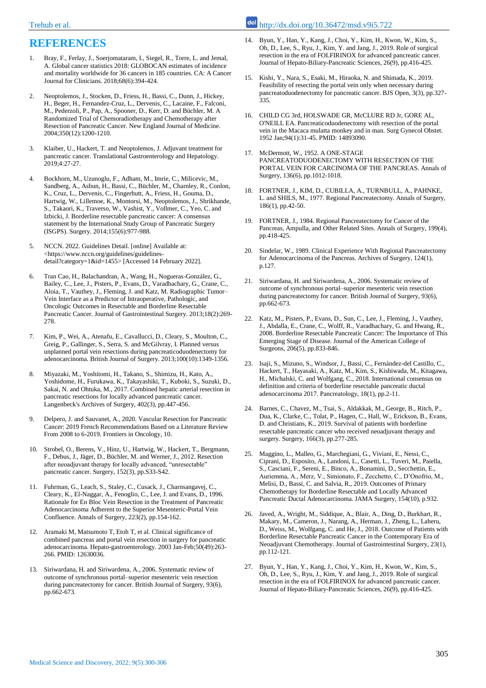## **REFERENCES**

- 1. Bray, F., Ferlay, J., Soerjomataram, I., Siegel, R., Torre, L. and Jemal, A. Global cancer statistics 2018: GLOBOCAN estimates of incidence and mortality worldwide for 36 cancers in 185 countries. CA: A Cancer Journal for Clinicians. 2018;68(6):394-424.
- 2. Neoptolemos, J., Stocken, D., Friess, H., Bassi, C., Dunn, J., Hickey, H., Beger, H., Fernandez-Cruz, L., Dervenis, C., Lacaine, F., Falconi, M., Pederzoli, P., Pap, A., Spooner, D., Kerr, D. and Büchler, M. A Randomized Trial of Chemoradiotherapy and Chemotherapy after Resection of Pancreatic Cancer. New England Journal of Medicine. 2004;350(12):1200-1210.
- 3. Klaiber, U., Hackert, T. and Neoptolemos, J. Adjuvant treatment for pancreatic cancer. Translational Gastroenterology and Hepatology. 2019;4:27-27.
- 4. Bockhorn, M., Uzunoglu, F., Adham, M., Imrie, C., Milicevic, M., Sandberg, A., Asbun, H., Bassi, C., Büchler, M., Charnley, R., Conlon, K., Cruz, L., Dervenis, C., Fingerhutt, A., Friess, H., Gouma, D., Hartwig, W., Lillemoe, K., Montorsi, M., Neoptolemos, J., Shrikhande, S., Takaori, K., Traverso, W., Vashist, Y., Vollmer, C., Yeo, C. and Izbicki, J. Borderline resectable pancreatic cancer: A consensus statement by the International Study Group of Pancreatic Surgery (ISGPS). Surgery. 2014;155(6):977-988.
- 5. NCCN. 2022. Guidelines Detail. [online] Available at: <https://www.nccn.org/guidelines/guidelinesdetail?category=1&id=1455> [Accessed 14 February 2022].
- 6. Tran Cao, H., Balachandran, A., Wang, H., Nogueras-González, G., Bailey, C., Lee, J., Pisters, P., Evans, D., Varadhachary, G., Crane, C., Aloia, T., Vauthey, J., Fleming, J. and Katz, M. Radiographic Tumor– Vein Interface as a Predictor of Intraoperative, Pathologic, and Oncologic Outcomes in Resectable and Borderline Resectable Pancreatic Cancer. Journal of Gastrointestinal Surgery. 2013;18(2):269- 278
- 7. Kim, P., Wei, A., Atenafu, E., Cavallucci, D., Cleary, S., Moulton, C., Greig, P., Gallinger, S., Serra, S. and McGilvray, I. Planned versus unplanned portal vein resections during pancreaticoduodenectomy for adenocarcinoma. British Journal of Surgery. 2013;100(10):1349-1356.
- 8. Miyazaki, M., Yoshitomi, H., Takano, S., Shimizu, H., Kato, A., Yoshidome, H., Furukawa, K., Takayashiki, T., Kuboki, S., Suzuki, D., Sakai, N. and Ohtuka, M., 2017. Combined hepatic arterial resection in pancreatic resections for locally advanced pancreatic cancer. Langenbeck's Archives of Surgery, 402(3), pp.447-456.
- 9. Delpero, J. and Sauvanet, A., 2020. Vascular Resection for Pancreatic Cancer: 2019 French Recommendations Based on a Literature Review From 2008 to 6-2019. Frontiers in Oncology, 10.
- 10. Strobel, O., Berens, V., Hinz, U., Hartwig, W., Hackert, T., Bergmann, F., Debus, J., Jäger, D., Büchler, M. and Werner, J., 2012. Resection after neoadjuvant therapy for locally advanced, "unresectable" pancreatic cancer. Surgery, 152(3), pp.S33-S42.
- 11. Fuhrman, G., Leach, S., Staley, C., Cusack, J., Charnsangavej, C., Cleary, K., El-Naggar, A., Fenoglio, C., Lee, J. and Evans, D., 1996. Rationale for En Bloc Vein Resection in the Treatment of Pancreatic Adenocarcinoma Adherent to the Superior Mesenteric-Portal Vein Confluence. Annals of Surgery, 223(2), pp.154-162.
- 12. Aramaki M, Matsumoto T, Etoh T, et al. Clinical significance of combined pancreas and portal vein resection in surgery for pancreatic adenocarcinoma. Hepato-gastroenterology. 2003 Jan-Feb;50(49):263- 266. PMID: 12630036.
- 13. Siriwardana, H. and Siriwardena, A., 2006. Systematic review of outcome of synchronous portal–superior mesenteric vein resection during pancreatectomy for cancer. British Journal of Surgery, 93(6), pp.662-673.
- 14. Byun, Y., Han, Y., Kang, J., Choi, Y., Kim, H., Kwon, W., Kim, S., Oh, D., Lee, S., Ryu, J., Kim, Y. and Jang, J., 2019. Role of surgical resection in the era of FOLFIRINOX for advanced pancreatic cancer. Journal of Hepato-Biliary-Pancreatic Sciences, 26(9), pp.416-425.
- 15. Kishi, Y., Nara, S., Esaki, M., Hiraoka, N. and Shimada, K., 2019. Feasibility of resecting the portal vein only when necessary during pancreatoduodenectomy for pancreatic cancer. BJS Open, 3(3), pp.327- 335.
- 16. CHILD CG 3rd, HOLSWADE GR, McCLURE RD Jr, GORE AL, O'NEILL EA. Pancreaticoduodenectomy with resection of the portal vein in the Macaca mulatta monkey and in man. Surg Gynecol Obstet. 1952 Jan;94(1):31-45. PMID: 14893090.
- 17. McDermott, W., 1952. A ONE-STAGE PANCREATODUODENECTOMY WITH RESECTION OF THE PORTAL VEIN FOR CARCINOMA OF THE PANCREAS. Annals of Surgery, 136(6), pp.1012-1018.
- 18. FORTNER, J., KIM, D., CUBILLA, A., TURNBULL, A., PAHNKE, L. and SHILS, M., 1977. Regional Pancreatectomy. Annals of Surgery, 186(1), pp.42-50.
- 19. FORTNER, J., 1984. Regional Pancreatectomy for Cancer of the Pancreas, Ampulla, and Other Related Sites. Annals of Surgery, 199(4), pp.418-425.
- 20. Sindelar, W., 1989. Clinical Experience With Regional Pancreatectomy for Adenocarcinoma of the Pancreas. Archives of Surgery, 124(1), p.127.
- 21. Siriwardana, H. and Siriwardena, A., 2006. Systematic review of outcome of synchronous portal–superior mesenteric vein resection during pancreatectomy for cancer. British Journal of Surgery, 93(6), pp.662-673.
- 22. Katz, M., Pisters, P., Evans, D., Sun, C., Lee, J., Fleming, J., Vauthey, J., Abdalla, E., Crane, C., Wolff, R., Varadhachary, G. and Hwang, R., 2008. Borderline Resectable Pancreatic Cancer: The Importance of This Emerging Stage of Disease. Journal of the American College of Surgeons, 206(5), pp.833-846.
- 23. Isaji, S., Mizuno, S., Windsor, J., Bassi, C., Fernández-del Castillo, C., Hackert, T., Hayasaki, A., Katz, M., Kim, S., Kishiwada, M., Kitagawa, H., Michalski, C. and Wolfgang, C., 2018. International consensus on definition and criteria of borderline resectable pancreatic ductal adenocarcinoma 2017. Pancreatology, 18(1), pp.2-11.
- 24. Barnes, C., Chavez, M., Tsai, S., Aldakkak, M., George, B., Ritch, P., Dua, K., Clarke, C., Tolat, P., Hagen, C., Hall, W., Erickson, B., Evans, D. and Christians, K., 2019. Survival of patients with borderline resectable pancreatic cancer who received neoadjuvant therapy and surgery. Surgery, 166(3), pp.277-285.
- 25. Maggino, L., Malleo, G., Marchegiani, G., Viviani, E., Nessi, C., Ciprani, D., Esposito, A., Landoni, L., Casetti, L., Tuveri, M., Paiella, S., Casciani, F., Sereni, E., Binco, A., Bonamini, D., Secchettin, E., Auriemma, A., Merz, V., Simionato, F., Zecchetto, C., D'Onofrio, M., Melisi, D., Bassi, C. and Salvia, R., 2019. Outcomes of Primary Chemotherapy for Borderline Resectable and Locally Advanced Pancreatic Ductal Adenocarcinoma. JAMA Surgery, 154(10), p.932.
- 26. Javed, A., Wright, M., Siddique, A., Blair, A., Ding, D., Burkhart, R., Makary, M., Cameron, J., Narang, A., Herman, J., Zheng, L., Laheru, D., Weiss, M., Wolfgang, C. and He, J., 2018. Outcome of Patients with Borderline Resectable Pancreatic Cancer in the Contemporary Era of Neoadjuvant Chemotherapy. Journal of Gastrointestinal Surgery, 23(1), pp.112-121.
- Byun, Y., Han, Y., Kang, J., Choi, Y., Kim, H., Kwon, W., Kim, S., Oh, D., Lee, S., Ryu, J., Kim, Y. and Jang, J., 2019. Role of surgical resection in the era of FOLFIRINOX for advanced pancreatic cancer. Journal of Hepato-Biliary-Pancreatic Sciences, 26(9), pp.416-425.